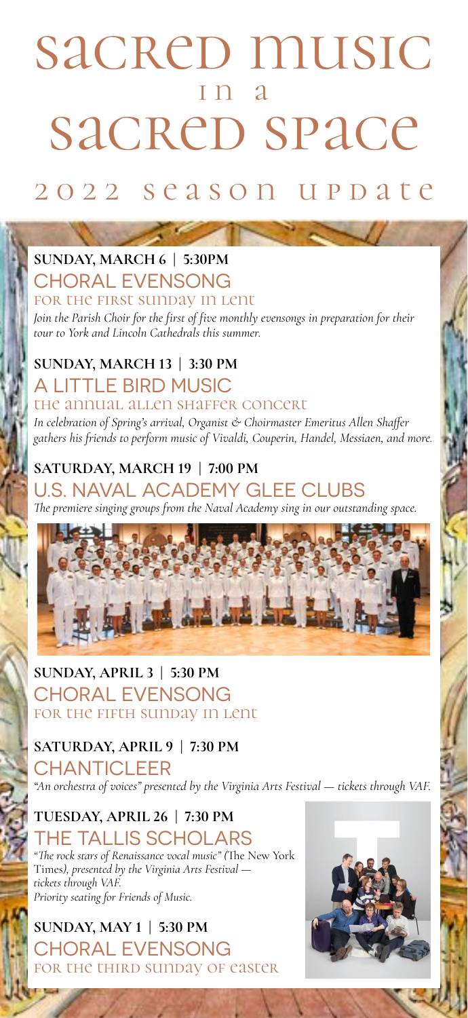# sacred music i n a sacred space

# 2 0 2 2 s e a s o n u p d a t e

## **SUNDAY, MARCH 6 | 5:30PM**

#### CHORAL EVENSONG

#### for the first sunday in lent

*Join the Parish Choir for the first of five monthly evensongs in preparation for their tour to York and Lincoln Cathedrals this summer.*

#### **SUNDAY, MARCH 13 | 3:30 PM** A LITTLE BIRD MUSIC

#### the annual allen shaffer concert

*In celebration of Spring's arrival, Organist & Choirmaster Emeritus Allen Shaffer gathers his friends to perform music of Vivaldi, Couperin, Handel, Messiaen, and more.*

#### **SATURDAY, MARCH 19 | 7:00 PM**

#### U.S. NAVAL ACADEMY GLEE CLUBS

*#e premiere singing groups from the Naval Academy sing in our outstanding space.*



#### **SUNDAY, APRIL 3 | 5:30 PM** CHORAL EVENSONG for the fifth sunday in lent

#### **SATURDAY, APRIL 9 | 7:30 PM**

CHANTICLEER *"An orchestra of voices" presented by the Virginia Arts Festival — tickets through VAF.*

#### **TUESDAY, APRIL 26 | 7:30 PM** THE TALLIS SCHOLARS

"The rock stars of Renaissance vocal music" (The New York Times*), presented by the Virginia Arts Festival tickets through VAF. Priority seating for Friends of Music.*

**SUNDAY, MAY 1 | 5:30 PM** CHORAL EVENSONG for the third sunday of easter